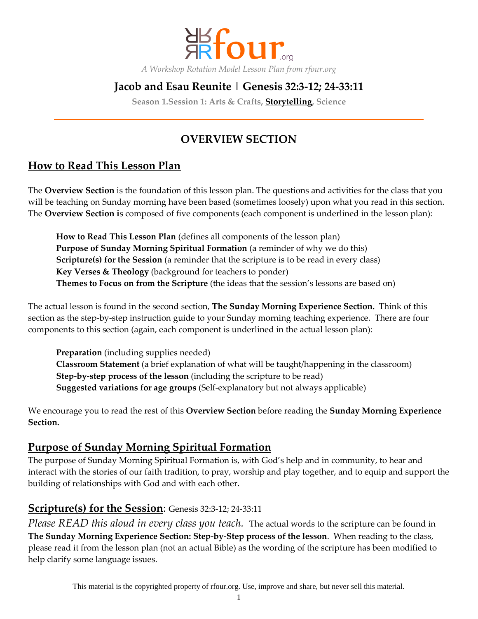

*A Workshop Rotation Model Lesson Plan from rfour.org*

# **Jacob and Esau Reunite | Genesis 32:3-12; 24-33:11**

**Season 1.Session 1: Arts & Crafts, Storytelling, Science**

# **OVERVIEW SECTION**

# **How to Read This Lesson Plan**

The **Overview Section** is the foundation of this lesson plan. The questions and activities for the class that you will be teaching on Sunday morning have been based (sometimes loosely) upon what you read in this section. The **Overview Section i**s composed of five components (each component is underlined in the lesson plan):

**How to Read This Lesson Plan** (defines all components of the lesson plan) **Purpose of Sunday Morning Spiritual Formation** (a reminder of why we do this) **Scripture(s) for the Session** (a reminder that the scripture is to be read in every class) **Key Verses & Theology** (background for teachers to ponder) **Themes to Focus on from the Scripture** (the ideas that the session's lessons are based on)

The actual lesson is found in the second section, **The Sunday Morning Experience Section.** Think of this section as the step-by-step instruction guide to your Sunday morning teaching experience. There are four components to this section (again, each component is underlined in the actual lesson plan):

**Preparation** (including supplies needed) **Classroom Statement** (a brief explanation of what will be taught/happening in the classroom) **Step-by-step process of the lesson** (including the scripture to be read) **Suggested variations for age groups** (Self-explanatory but not always applicable)

We encourage you to read the rest of this **Overview Section** before reading the **Sunday Morning Experience Section.**

# **Purpose of Sunday Morning Spiritual Formation**

The purpose of Sunday Morning Spiritual Formation is, with God's help and in community, to hear and interact with the stories of our faith tradition, to pray, worship and play together, and to equip and support the building of relationships with God and with each other.

# **Scripture(s) for the Session**: Genesis 32:3-12; 24-33:11

*Please READ this aloud in every class you teach.* The actual words to the scripture can be found in **The Sunday Morning Experience Section: Step-by-Step process of the lesson**. When reading to the class, please read it from the lesson plan (not an actual Bible) as the wording of the scripture has been modified to help clarify some language issues.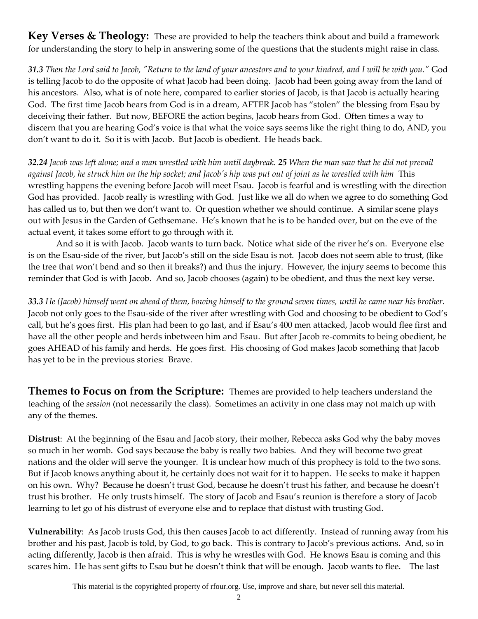**Key Verses & Theology:** These are provided to help the teachers think about and build a framework for understanding the story to help in answering some of the questions that the students might raise in class.

*31.3 Then the Lord said to Jacob, "Return to the land of your ancestors and to your kindred, and I will be with you."* God is telling Jacob to do the opposite of what Jacob had been doing. Jacob had been going away from the land of his ancestors. Also, what is of note here, compared to earlier stories of Jacob, is that Jacob is actually hearing God. The first time Jacob hears from God is in a dream, AFTER Jacob has "stolen" the blessing from Esau by deceiving their father. But now, BEFORE the action begins, Jacob hears from God. Often times a way to discern that you are hearing God's voice is that what the voice says seems like the right thing to do, AND, you don't want to do it. So it is with Jacob. But Jacob is obedient. He heads back.

*32.24 Jacob was left alone; and a man wrestled with him until daybreak. 25 When the man saw that he did not prevail against Jacob, he struck him on the hip socket; and Jacob's hip was put out of joint as he wrestled with him* This wrestling happens the evening before Jacob will meet Esau. Jacob is fearful and is wrestling with the direction God has provided. Jacob really is wrestling with God. Just like we all do when we agree to do something God has called us to, but then we don't want to. Or question whether we should continue. A similar scene plays out with Jesus in the Garden of Gethsemane. He's known that he is to be handed over, but on the eve of the actual event, it takes some effort to go through with it.

And so it is with Jacob. Jacob wants to turn back. Notice what side of the river he's on. Everyone else is on the Esau-side of the river, but Jacob's still on the side Esau is not. Jacob does not seem able to trust, (like the tree that won't bend and so then it breaks?) and thus the injury. However, the injury seems to become this reminder that God is with Jacob. And so, Jacob chooses (again) to be obedient, and thus the next key verse.

*33.3 He (Jacob) himself went on ahead of them, bowing himself to the ground seven times, until he came near his brother.* Jacob not only goes to the Esau-side of the river after wrestling with God and choosing to be obedient to God's call, but he's goes first. His plan had been to go last, and if Esau's 400 men attacked, Jacob would flee first and have all the other people and herds inbetween him and Esau. But after Jacob re-commits to being obedient, he goes AHEAD of his family and herds. He goes first. His choosing of God makes Jacob something that Jacob has yet to be in the previous stories: Brave.

**Themes to Focus on from the Scripture:** Themes are provided to help teachers understand the teaching of the *session* (not necessarily the class). Sometimes an activity in one class may not match up with any of the themes.

**Distrust**: At the beginning of the Esau and Jacob story, their mother, Rebecca asks God why the baby moves so much in her womb. God says because the baby is really two babies. And they will become two great nations and the older will serve the younger. It is unclear how much of this prophecy is told to the two sons. But if Jacob knows anything about it, he certainly does not wait for it to happen. He seeks to make it happen on his own. Why? Because he doesn't trust God, because he doesn't trust his father, and because he doesn't trust his brother. He only trusts himself. The story of Jacob and Esau's reunion is therefore a story of Jacob learning to let go of his distrust of everyone else and to replace that distust with trusting God.

**Vulnerability**: As Jacob trusts God, this then causes Jacob to act differently. Instead of running away from his brother and his past, Jacob is told, by God, to go back. This is contrary to Jacob's previous actions. And, so in acting differently, Jacob is then afraid. This is why he wrestles with God. He knows Esau is coming and this scares him. He has sent gifts to Esau but he doesn't think that will be enough. Jacob wants to flee. The last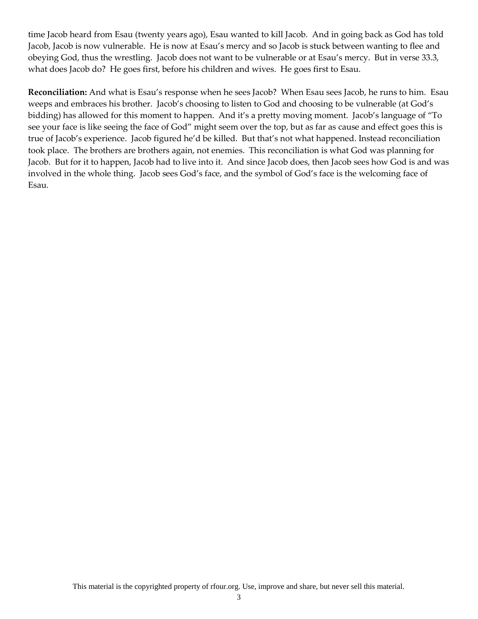time Jacob heard from Esau (twenty years ago), Esau wanted to kill Jacob. And in going back as God has told Jacob, Jacob is now vulnerable. He is now at Esau's mercy and so Jacob is stuck between wanting to flee and obeying God, thus the wrestling. Jacob does not want to be vulnerable or at Esau's mercy. But in verse 33.3, what does Jacob do? He goes first, before his children and wives. He goes first to Esau.

**Reconciliation:** And what is Esau's response when he sees Jacob? When Esau sees Jacob, he runs to him. Esau weeps and embraces his brother. Jacob's choosing to listen to God and choosing to be vulnerable (at God's bidding) has allowed for this moment to happen. And it's a pretty moving moment. Jacob's language of "To see your face is like seeing the face of God" might seem over the top, but as far as cause and effect goes this is true of Jacob's experience. Jacob figured he'd be killed. But that's not what happened. Instead reconciliation took place. The brothers are brothers again, not enemies. This reconciliation is what God was planning for Jacob. But for it to happen, Jacob had to live into it. And since Jacob does, then Jacob sees how God is and was involved in the whole thing. Jacob sees God's face, and the symbol of God's face is the welcoming face of Esau.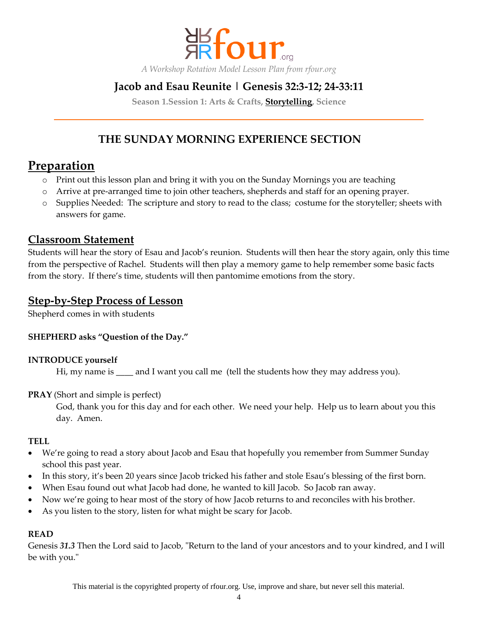

*A Workshop Rotation Model Lesson Plan from rfour.org*

# **Jacob and Esau Reunite | Genesis 32:3-12; 24-33:11**

**Season 1.Session 1: Arts & Crafts, Storytelling, Science**

# **THE SUNDAY MORNING EXPERIENCE SECTION**

# **Preparation**

- o Print out this lesson plan and bring it with you on the Sunday Mornings you are teaching
- o Arrive at pre-arranged time to join other teachers, shepherds and staff for an opening prayer.
- o Supplies Needed: The scripture and story to read to the class; costume for the storyteller; sheets with answers for game.

## **Classroom Statement**

Students will hear the story of Esau and Jacob's reunion. Students will then hear the story again, only this time from the perspective of Rachel. Students will then play a memory game to help remember some basic facts from the story. If there's time, students will then pantomime emotions from the story.

## **Step-by-Step Process of Lesson**

Shepherd comes in with students

## **SHEPHERD asks "Question of the Day."**

#### **INTRODUCE yourself**

Hi, my name is \_\_\_\_ and I want you call me (tell the students how they may address you).

## **PRAY** (Short and simple is perfect)

God, thank you for this day and for each other. We need your help. Help us to learn about you this day. Amen.

#### **TELL**

- We're going to read a story about Jacob and Esau that hopefully you remember from Summer Sunday school this past year.
- In this story, it's been 20 years since Jacob tricked his father and stole Esau's blessing of the first born.
- When Esau found out what Jacob had done, he wanted to kill Jacob. So Jacob ran away.
- Now we're going to hear most of the story of how Jacob returns to and reconciles with his brother.
- As you listen to the story, listen for what might be scary for Jacob.

#### **READ**

Genesis *31.3* Then the Lord said to Jacob, "Return to the land of your ancestors and to your kindred, and I will be with you."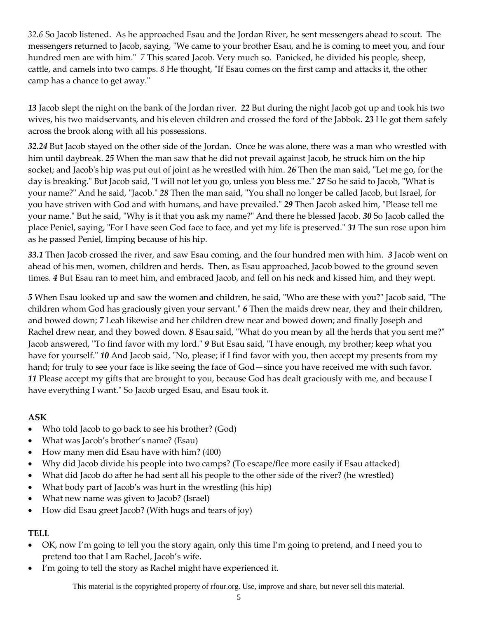*32.6* So Jacob listened. As he approached Esau and the Jordan River, he sent messengers ahead to scout. The messengers returned to Jacob, saying, "We came to your brother Esau, and he is coming to meet you, and four hundred men are with him."*7* This scared Jacob. Very much so. Panicked, he divided his people, sheep, cattle, and camels into two camps. *8* He thought, "If Esau comes on the first camp and attacks it, the other camp has a chance to get away."

*13* Jacob slept the night on the bank of the Jordan river. *22* But during the night Jacob got up and took his two wives, his two maidservants, and his eleven children and crossed the ford of the Jabbok. *23* He got them safely across the brook along with all his possessions.

*32.24* But Jacob stayed on the other side of the Jordan. Once he was alone, there was a man who wrestled with him until daybreak. *25* When the man saw that he did not prevail against Jacob, he struck him on the hip socket; and Jacob's hip was put out of joint as he wrestled with him. *26* Then the man said, "Let me go, for the day is breaking." But Jacob said, "I will not let you go, unless you bless me." *27* So he said to Jacob, "What is your name?" And he said, "Jacob." *28* Then the man said, "You shall no longer be called Jacob, but Israel, for you have striven with God and with humans, and have prevailed." *29* Then Jacob asked him, "Please tell me your name." But he said, "Why is it that you ask my name?" And there he blessed Jacob. *30* So Jacob called the place Peniel, saying, "For I have seen God face to face, and yet my life is preserved." *31* The sun rose upon him as he passed Peniel, limping because of his hip.

*33.1* Then Jacob crossed the river, and saw Esau coming, and the four hundred men with him. *3* Jacob went on ahead of his men, women, children and herds. Then, as Esau approached, Jacob bowed to the ground seven times. *4* But Esau ran to meet him, and embraced Jacob, and fell on his neck and kissed him, and they wept.

*5* When Esau looked up and saw the women and children, he said, "Who are these with you?" Jacob said, "The children whom God has graciously given your servant." *6* Then the maids drew near, they and their children, and bowed down; *7* Leah likewise and her children drew near and bowed down; and finally Joseph and Rachel drew near, and they bowed down. *8* Esau said, "What do you mean by all the herds that you sent me?" Jacob answered, "To find favor with my lord." *9* But Esau said, "I have enough, my brother; keep what you have for yourself." *10* And Jacob said, "No, please; if I find favor with you, then accept my presents from my hand; for truly to see your face is like seeing the face of God—since you have received me with such favor. *11* Please accept my gifts that are brought to you, because God has dealt graciously with me, and because I have everything I want." So Jacob urged Esau, and Esau took it.

## **ASK**

- Who told Jacob to go back to see his brother? (God)
- What was Jacob's brother's name? (Esau)
- How many men did Esau have with him? (400)
- Why did Jacob divide his people into two camps? (To escape/flee more easily if Esau attacked)
- What did Jacob do after he had sent all his people to the other side of the river? (he wrestled)
- What body part of Jacob's was hurt in the wrestling (his hip)
- What new name was given to Jacob? (Israel)
- How did Esau greet Jacob? (With hugs and tears of joy)

## **TELL**

- OK, now I'm going to tell you the story again, only this time I'm going to pretend, and I need you to pretend too that I am Rachel, Jacob's wife.
- I'm going to tell the story as Rachel might have experienced it.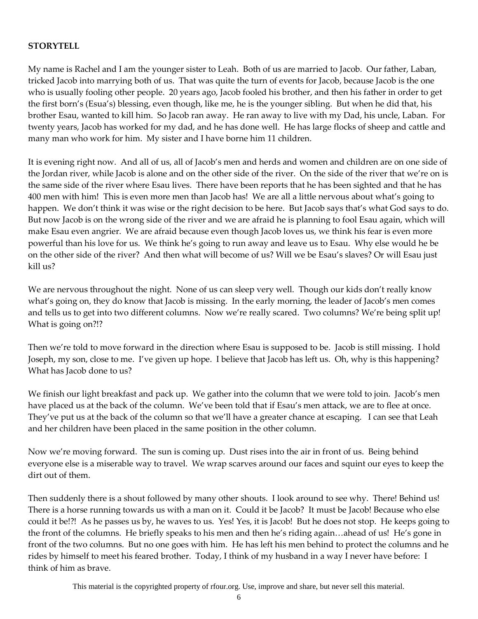#### **STORYTELL**

My name is Rachel and I am the younger sister to Leah. Both of us are married to Jacob. Our father, Laban, tricked Jacob into marrying both of us. That was quite the turn of events for Jacob, because Jacob is the one who is usually fooling other people. 20 years ago, Jacob fooled his brother, and then his father in order to get the first born's (Esua's) blessing, even though, like me, he is the younger sibling. But when he did that, his brother Esau, wanted to kill him. So Jacob ran away. He ran away to live with my Dad, his uncle, Laban. For twenty years, Jacob has worked for my dad, and he has done well. He has large flocks of sheep and cattle and many man who work for him. My sister and I have borne him 11 children.

It is evening right now. And all of us, all of Jacob's men and herds and women and children are on one side of the Jordan river, while Jacob is alone and on the other side of the river. On the side of the river that we're on is the same side of the river where Esau lives. There have been reports that he has been sighted and that he has 400 men with him! This is even more men than Jacob has! We are all a little nervous about what's going to happen. We don't think it was wise or the right decision to be here. But Jacob says that's what God says to do. But now Jacob is on the wrong side of the river and we are afraid he is planning to fool Esau again, which will make Esau even angrier. We are afraid because even though Jacob loves us, we think his fear is even more powerful than his love for us. We think he's going to run away and leave us to Esau. Why else would he be on the other side of the river? And then what will become of us? Will we be Esau's slaves? Or will Esau just kill us?

We are nervous throughout the night. None of us can sleep very well. Though our kids don't really know what's going on, they do know that Jacob is missing. In the early morning, the leader of Jacob's men comes and tells us to get into two different columns. Now we're really scared. Two columns? We're being split up! What is going on?!?

Then we're told to move forward in the direction where Esau is supposed to be. Jacob is still missing. I hold Joseph, my son, close to me. I've given up hope. I believe that Jacob has left us. Oh, why is this happening? What has Jacob done to us?

We finish our light breakfast and pack up. We gather into the column that we were told to join. Jacob's men have placed us at the back of the column. We've been told that if Esau's men attack, we are to flee at once. They've put us at the back of the column so that we'll have a greater chance at escaping. I can see that Leah and her children have been placed in the same position in the other column.

Now we're moving forward. The sun is coming up. Dust rises into the air in front of us. Being behind everyone else is a miserable way to travel. We wrap scarves around our faces and squint our eyes to keep the dirt out of them.

Then suddenly there is a shout followed by many other shouts. I look around to see why. There! Behind us! There is a horse running towards us with a man on it. Could it be Jacob? It must be Jacob! Because who else could it be!?! As he passes us by, he waves to us. Yes! Yes, it is Jacob! But he does not stop. He keeps going to the front of the columns. He briefly speaks to his men and then he's riding again…ahead of us! He's gone in front of the two columns. But no one goes with him. He has left his men behind to protect the columns and he rides by himself to meet his feared brother. Today, I think of my husband in a way I never have before: I think of him as brave.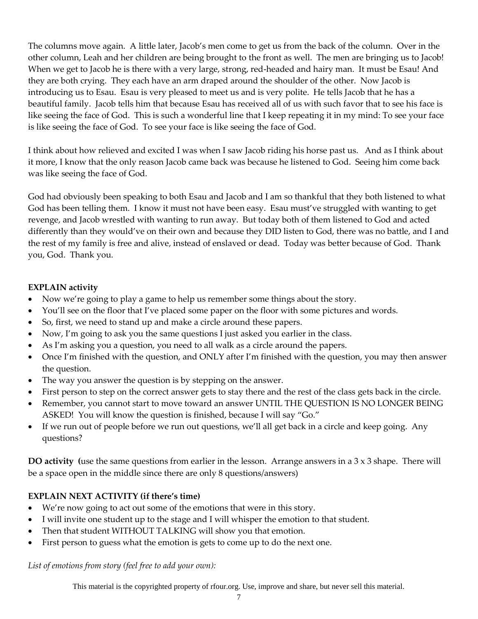The columns move again. A little later, Jacob's men come to get us from the back of the column. Over in the other column, Leah and her children are being brought to the front as well. The men are bringing us to Jacob! When we get to Jacob he is there with a very large, strong, red-headed and hairy man. It must be Esau! And they are both crying. They each have an arm draped around the shoulder of the other. Now Jacob is introducing us to Esau. Esau is very pleased to meet us and is very polite. He tells Jacob that he has a beautiful family. Jacob tells him that because Esau has received all of us with such favor that to see his face is like seeing the face of God. This is such a wonderful line that I keep repeating it in my mind: To see your face is like seeing the face of God. To see your face is like seeing the face of God.

I think about how relieved and excited I was when I saw Jacob riding his horse past us. And as I think about it more, I know that the only reason Jacob came back was because he listened to God. Seeing him come back was like seeing the face of God.

God had obviously been speaking to both Esau and Jacob and I am so thankful that they both listened to what God has been telling them. I know it must not have been easy. Esau must've struggled with wanting to get revenge, and Jacob wrestled with wanting to run away. But today both of them listened to God and acted differently than they would've on their own and because they DID listen to God, there was no battle, and I and the rest of my family is free and alive, instead of enslaved or dead. Today was better because of God. Thank you, God. Thank you.

### **EXPLAIN activity**

- Now we're going to play a game to help us remember some things about the story.
- You'll see on the floor that I've placed some paper on the floor with some pictures and words.
- So, first, we need to stand up and make a circle around these papers.
- Now, I'm going to ask you the same questions I just asked you earlier in the class.
- As I'm asking you a question, you need to all walk as a circle around the papers.
- Once I'm finished with the question, and ONLY after I'm finished with the question, you may then answer the question.
- The way you answer the question is by stepping on the answer.
- First person to step on the correct answer gets to stay there and the rest of the class gets back in the circle.
- Remember, you cannot start to move toward an answer UNTIL THE QUESTION IS NO LONGER BEING ASKED! You will know the question is finished, because I will say "Go."
- If we run out of people before we run out questions, we'll all get back in a circle and keep going. Any questions?

**DO activity (**use the same questions from earlier in the lesson. Arrange answers in a 3 x 3 shape. There will be a space open in the middle since there are only 8 questions/answers)

## **EXPLAIN NEXT ACTIVITY (if there's time)**

- We're now going to act out some of the emotions that were in this story.
- I will invite one student up to the stage and I will whisper the emotion to that student.
- Then that student WITHOUT TALKING will show you that emotion.
- First person to guess what the emotion is gets to come up to do the next one.

*List of emotions from story (feel free to add your own):*